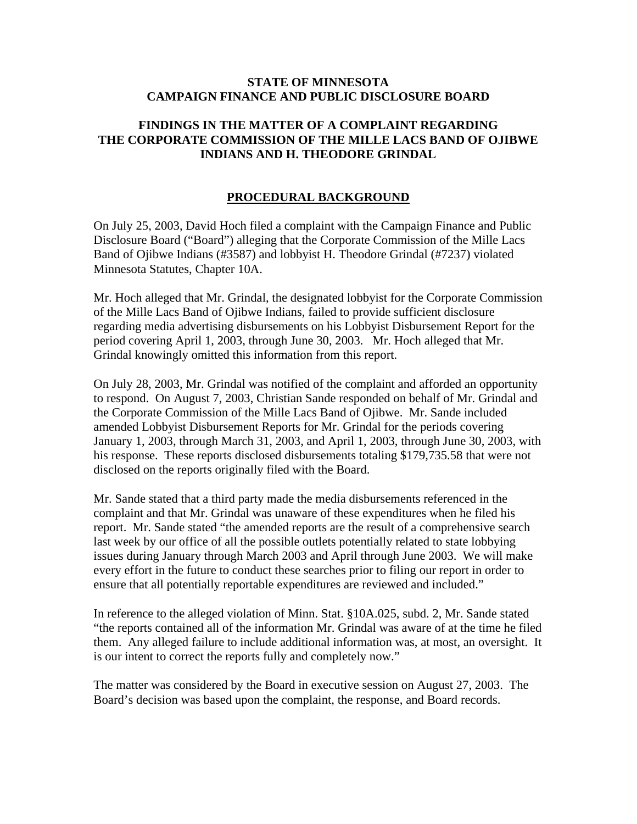### **STATE OF MINNESOTA CAMPAIGN FINANCE AND PUBLIC DISCLOSURE BOARD**

# **FINDINGS IN THE MATTER OF A COMPLAINT REGARDING THE CORPORATE COMMISSION OF THE MILLE LACS BAND OF OJIBWE INDIANS AND H. THEODORE GRINDAL**

# **PROCEDURAL BACKGROUND**

On July 25, 2003, David Hoch filed a complaint with the Campaign Finance and Public Disclosure Board ("Board") alleging that the Corporate Commission of the Mille Lacs Band of Ojibwe Indians (#3587) and lobbyist H. Theodore Grindal (#7237) violated Minnesota Statutes, Chapter 10A.

Mr. Hoch alleged that Mr. Grindal, the designated lobbyist for the Corporate Commission of the Mille Lacs Band of Ojibwe Indians, failed to provide sufficient disclosure regarding media advertising disbursements on his Lobbyist Disbursement Report for the period covering April 1, 2003, through June 30, 2003. Mr. Hoch alleged that Mr. Grindal knowingly omitted this information from this report.

On July 28, 2003, Mr. Grindal was notified of the complaint and afforded an opportunity to respond. On August 7, 2003, Christian Sande responded on behalf of Mr. Grindal and the Corporate Commission of the Mille Lacs Band of Ojibwe. Mr. Sande included amended Lobbyist Disbursement Reports for Mr. Grindal for the periods covering January 1, 2003, through March 31, 2003, and April 1, 2003, through June 30, 2003, with his response. These reports disclosed disbursements totaling \$179,735.58 that were not disclosed on the reports originally filed with the Board.

Mr. Sande stated that a third party made the media disbursements referenced in the complaint and that Mr. Grindal was unaware of these expenditures when he filed his report. Mr. Sande stated "the amended reports are the result of a comprehensive search last week by our office of all the possible outlets potentially related to state lobbying issues during January through March 2003 and April through June 2003. We will make every effort in the future to conduct these searches prior to filing our report in order to ensure that all potentially reportable expenditures are reviewed and included."

In reference to the alleged violation of Minn. Stat. §10A.025, subd. 2, Mr. Sande stated "the reports contained all of the information Mr. Grindal was aware of at the time he filed them. Any alleged failure to include additional information was, at most, an oversight. It is our intent to correct the reports fully and completely now."

The matter was considered by the Board in executive session on August 27, 2003. The Board's decision was based upon the complaint, the response, and Board records.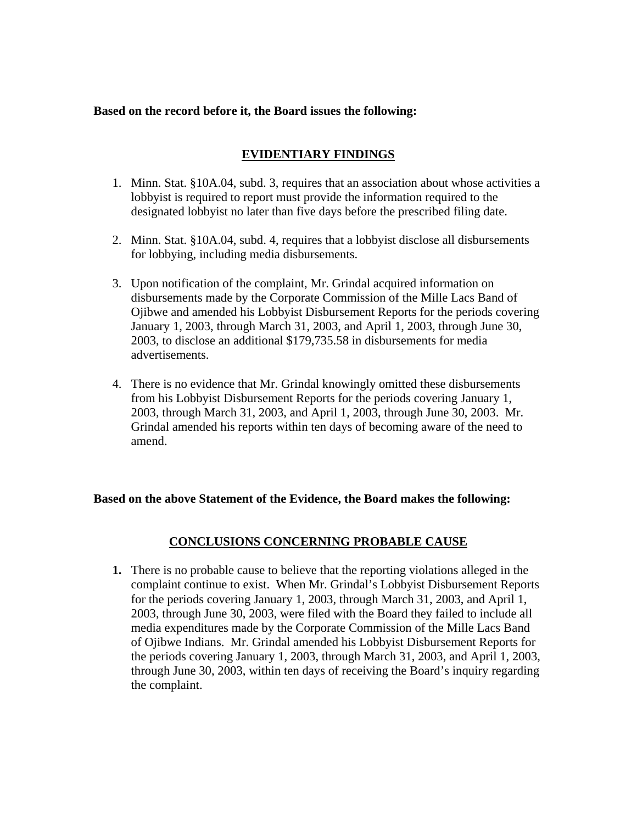### **Based on the record before it, the Board issues the following:**

# **EVIDENTIARY FINDINGS**

- 1. Minn. Stat. §10A.04, subd. 3, requires that an association about whose activities a lobbyist is required to report must provide the information required to the designated lobbyist no later than five days before the prescribed filing date.
- 2. Minn. Stat. §10A.04, subd. 4, requires that a lobbyist disclose all disbursements for lobbying, including media disbursements.
- 3. Upon notification of the complaint, Mr. Grindal acquired information on disbursements made by the Corporate Commission of the Mille Lacs Band of Ojibwe and amended his Lobbyist Disbursement Reports for the periods covering January 1, 2003, through March 31, 2003, and April 1, 2003, through June 30, 2003, to disclose an additional \$179,735.58 in disbursements for media advertisements.
- 4. There is no evidence that Mr. Grindal knowingly omitted these disbursements from his Lobbyist Disbursement Reports for the periods covering January 1, 2003, through March 31, 2003, and April 1, 2003, through June 30, 2003. Mr. Grindal amended his reports within ten days of becoming aware of the need to amend.

### **Based on the above Statement of the Evidence, the Board makes the following:**

# **CONCLUSIONS CONCERNING PROBABLE CAUSE**

**1.** There is no probable cause to believe that the reporting violations alleged in the complaint continue to exist. When Mr. Grindal's Lobbyist Disbursement Reports for the periods covering January 1, 2003, through March 31, 2003, and April 1, 2003, through June 30, 2003, were filed with the Board they failed to include all media expenditures made by the Corporate Commission of the Mille Lacs Band of Ojibwe Indians. Mr. Grindal amended his Lobbyist Disbursement Reports for the periods covering January 1, 2003, through March 31, 2003, and April 1, 2003, through June 30, 2003, within ten days of receiving the Board's inquiry regarding the complaint.